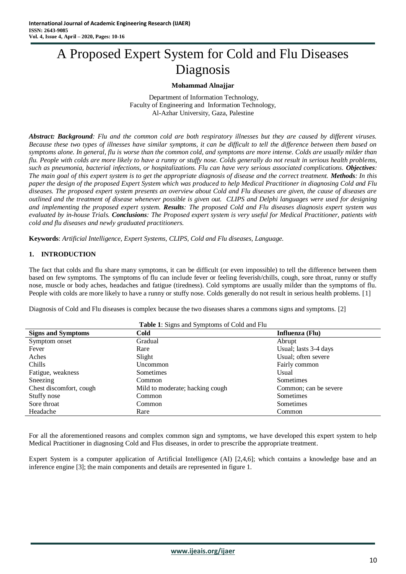# A Proposed Expert System for Cold and Flu Diseases Diagnosis

## **Mohammad Alnajjar**

Department of Information Technology, Faculty of Engineering and Information Technology, Al-Azhar University, Gaza, Palestine

*Abstract: Background: Flu and the common cold are both respiratory illnesses but they are caused by different viruses. Because these two types of illnesses have similar symptoms, it can be difficult to tell the difference between them based on symptoms alone. In general, flu is worse than the common cold, and symptoms are more intense. Colds are usually milder than flu. People with colds are more likely to have a runny or stuffy nose. Colds generally do not result in serious health problems, such as pneumonia, bacterial infections, or hospitalizations. Flu can have very serious associated complications. Objectives: The main goal of this expert system is to get the appropriate diagnosis of disease and the correct treatment. <i>Methods*: In this *paper the design of the proposed Expert System which was produced to help Medical Practitioner in diagnosing Cold and Flu diseases. The proposed expert system presents an overview about Cold and Flu diseases are given, the cause of diseases are outlined and the treatment of disease whenever possible is given out. CLIPS and Delphi languages were used for designing and implementing the proposed expert system. Results: The proposed Cold and Flu diseases diagnosis expert system was evaluated by in-house Trials. Conclusions: The Proposed expert system is very useful for Medical Practitioner, patients with cold and flu diseases and newly graduated practitioners.* 

**Keywords**: *Artificial Intelligence, Expert Systems, CLIPS, Cold and Flu diseases, Language.*

## **1. INTRODUCTION**

The fact that colds and flu share many symptoms, it can be difficult (or even impossible) to tell the difference between them based on few symptoms. The symptoms of flu can include fever or feeling feverish/chills, cough, sore throat, runny or stuffy nose, muscle or body aches, headaches and fatigue (tiredness). Cold symptoms are usually milder than the symptoms of flu. People with colds are more likely to have a runny or stuffy nose. Colds generally do not result in serious health problems. [1]

Diagnosis of Cold and Flu diseases is complex because the two diseases shares a commons signs and symptoms. [2]

**Table 1**: Signs and Symptoms of Cold and Flu

For all the aforementioned reasons and complex common sign and symptoms, we have developed this expert system to help Medical Practitioner in diagnosing Cold and Flus diseases, in order to prescribe the appropriate treatment.

Expert System is a computer application of Artificial Intelligence (AI) [2,4,6]; which contains a knowledge base and an inference engine [3]; the main components and details are represented in figure 1.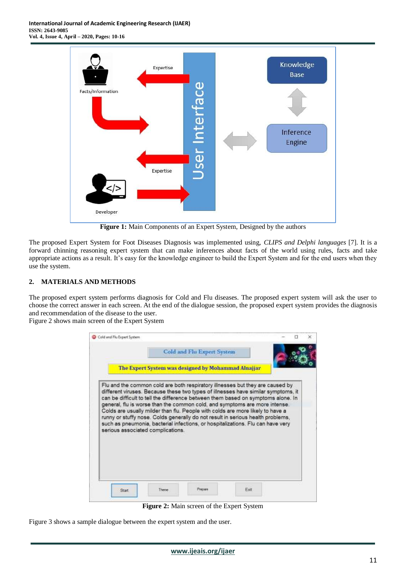

**Figure 1:** Main Components of an Expert System, Designed by the authors

The proposed Expert System for Foot Diseases Diagnosis was implemented using, *CLIPS and Delphi languages* [7]. It is a forward chinning reasoning expert system that can make inferences about facts of the world using rules, facts and take appropriate actions as a result. It's easy for the knowledge engineer to build the Expert System and for the end users when they use the system.

# **2. MATERIALS AND METHODS**

The proposed expert system performs diagnosis for Cold and Flu diseases. The proposed expert system will ask the user to choose the correct answer in each screen. At the end of the dialogue session, the proposed expert system provides the diagnosis and recommendation of the disease to the user.

Figure 2 shows main screen of the Expert System

| The Expert System was designed by Mohammad Alnajjar<br>Flu and the common cold are both respiratory illnesses but they are caused by<br>different viruses. Because these two types of illnesses have similar symptoms, it<br>can be difficult to tell the difference between them based on symptoms alone. In<br>general, flu is worse than the common cold, and symptoms are more intense.<br>Colds are usually milder than flu. People with colds are more likely to have a<br>runny or stuffy nose. Colds generally do not result in serious health problems,<br>such as pneumonia, bacterial infections, or hospitalizations. Flu can have very<br>serious associated complications. | Cold and Flu Expert System |  |  |
|------------------------------------------------------------------------------------------------------------------------------------------------------------------------------------------------------------------------------------------------------------------------------------------------------------------------------------------------------------------------------------------------------------------------------------------------------------------------------------------------------------------------------------------------------------------------------------------------------------------------------------------------------------------------------------------|----------------------------|--|--|
|                                                                                                                                                                                                                                                                                                                                                                                                                                                                                                                                                                                                                                                                                          |                            |  |  |
|                                                                                                                                                                                                                                                                                                                                                                                                                                                                                                                                                                                                                                                                                          |                            |  |  |
|                                                                                                                                                                                                                                                                                                                                                                                                                                                                                                                                                                                                                                                                                          |                            |  |  |
|                                                                                                                                                                                                                                                                                                                                                                                                                                                                                                                                                                                                                                                                                          |                            |  |  |

**Figure 2:** Main screen of the Expert System

Figure 3 shows a sample dialogue between the expert system and the user.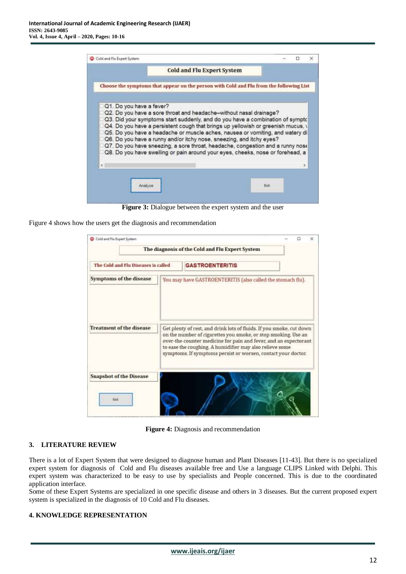|                                                                      | <b>Cold and Flu Expert System</b>                                                                                                                                                                                                                                                                                        |  |  |
|----------------------------------------------------------------------|--------------------------------------------------------------------------------------------------------------------------------------------------------------------------------------------------------------------------------------------------------------------------------------------------------------------------|--|--|
|                                                                      | Choose the symptoms that appear on the person with Cold and Flu from the following List                                                                                                                                                                                                                                  |  |  |
| Q1. Do you have a fever?                                             | Q2. Do you have a sore throat and headache-without nasal drainage?<br>Q3. Did your symptoms start suddenly, and do you have a combination of sympto<br>Q4. Do you have a persistent cough that brings up yellowish or greenish mucus, y<br>Q5. Do you have a headache or muscle aches, nausea or vomiting, and watery di |  |  |
| Q6. Do you have a runny and/or itchy nose, sneezing, and itchy eyes? | Q7. Do you have sneezing, a sore throat, headache, congestion and a runny nose<br>Q8. Do you have swelling or pain around your eyes, cheeks, nose or forehead, a                                                                                                                                                         |  |  |

**Figure 3:** Dialogue between the expert system and the user

Figure 4 shows how the users get the diagnosis and recommendation

| Cold and Flu Expert System             | The diagnosis of the Cold and Flu Expert System                                                                                                                                                                                                                                                                                         |  |
|----------------------------------------|-----------------------------------------------------------------------------------------------------------------------------------------------------------------------------------------------------------------------------------------------------------------------------------------------------------------------------------------|--|
| The Cold and Flu Diseases is called    | <b>GASTROENTERITIS</b>                                                                                                                                                                                                                                                                                                                  |  |
| Symptoms of the disease                | You may have GASTROENTERITIS (also called the stomach flu).                                                                                                                                                                                                                                                                             |  |
| <b>Treatment of the disease</b>        | Get plenty of rest, and drink lots of fluids. If you smoke, cut down<br>on the number of cigarettes you smoke, or stop smoking. Use an<br>over-the-counter medicine for pain and fever, and an expectorant<br>to ease the coughing. A humidifier may also relieve some<br>symptoms. If symptoms persist or worsen, contact your doctor. |  |
| <b>Snapshot of the Disease</b><br>Exit |                                                                                                                                                                                                                                                                                                                                         |  |

**Figure 4:** Diagnosis and recommendation

## **3. LITERATURE REVIEW**

There is a lot of Expert System that were designed to diagnose human and Plant Diseases [11-43]. But there is no specialized expert system for diagnosis of Cold and Flu diseases available free and Use a language CLIPS Linked with Delphi. This expert system was characterized to be easy to use by specialists and People concerned. This is due to the coordinated application interface.

Some of these Expert Systems are specialized in one specific disease and others in 3 diseases. But the current proposed expert system is specialized in the diagnosis of 10 Cold and Flu diseases.

# **4. KNOWLEDGE REPRESENTATION**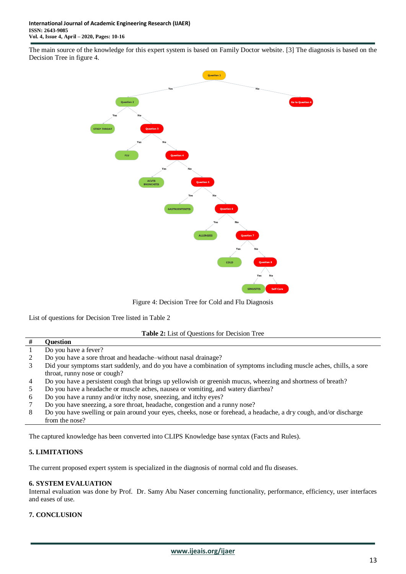The main source of the knowledge for this expert system is based on Family Doctor website. [3] The diagnosis is based on the Decision Tree in figure 4.



Figure 4: Decision Tree for Cold and Flu Diagnosis

List of questions for Decision Tree listed in Table 2

**Table 2:** List of Questions for Decision Tree

| Ŧ | Ouestion                                                                                                           |
|---|--------------------------------------------------------------------------------------------------------------------|
|   | Do you have a fever?                                                                                               |
|   | Do you have a sore throat and headache–without nasal drainage?                                                     |
|   | Did your symptoms start suddenly, and do you have a combination of symptoms including muscle aches, chills, a sore |
|   | throat, runny nose or cough?                                                                                       |
|   | Do you have a persistent cough that brings up yellowish or greenish mucus, wheezing and shortness of breath?       |
|   | Do you have a headache or muscle aches, nausea or vomiting, and watery diarrhea?                                   |
| 6 | Do you have a runny and/or itchy nose, sneezing, and itchy eyes?                                                   |
|   | Do you have sneezing, a sore throat, headache, congestion and a runny nose?                                        |
| 8 | Do you have swelling or pain around your eyes, cheeks, nose or forehead, a headache, a dry cough, and/or discharge |
|   | from the nose?                                                                                                     |

The captured knowledge has been converted into CLIPS Knowledge base syntax (Facts and Rules).

# **5. LIMITATIONS**

The current proposed expert system is specialized in the diagnosis of normal cold and flu diseases.

#### **6. SYSTEM EVALUATION**

Internal evaluation was done by Prof. Dr. Samy Abu Naser concerning functionality, performance, efficiency, user interfaces and eases of use.

#### **7. CONCLUSION**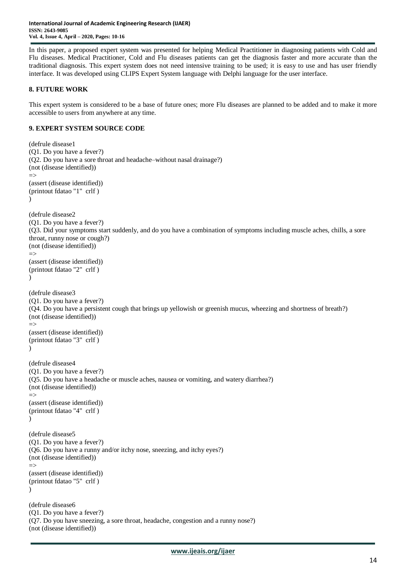In this paper, a proposed expert system was presented for helping Medical Practitioner in diagnosing patients with Cold and Flu diseases. Medical Practitioner, Cold and Flu diseases patients can get the diagnosis faster and more accurate than the traditional diagnosis. This expert system does not need intensive training to be used; it is easy to use and has user friendly interface. It was developed using CLIPS Expert System language with Delphi language for the user interface.

# **8. FUTURE WORK**

This expert system is considered to be a base of future ones; more Flu diseases are planned to be added and to make it more accessible to users from anywhere at any time.

# **9. EXPERT SYSTEM SOURCE CODE**

```
(defrule disease1
(Q1. Do you have a fever?)
(Q2. Do you have a sore throat and headache–without nasal drainage?)
(not (disease identified))
\Rightarrow(assert (disease identified))
(printout fdatao "1" crlf )
)
(defrule disease2
(Q1. Do you have a fever?)
(Q3. Did your symptoms start suddenly, and do you have a combination of symptoms including muscle aches, chills, a sore 
throat, runny nose or cough?)
(not (disease identified))
\Rightarrow(assert (disease identified))
(printout fdatao "2" crlf )
)
(defrule disease3
(Q1. Do you have a fever?)
(Q4. Do you have a persistent cough that brings up yellowish or greenish mucus, wheezing and shortness of breath?)
(not (disease identified))
\Rightarrow(assert (disease identified))
(printout fdatao "3" crlf )
\lambda(defrule disease4
(Q1. Do you have a fever?)
(Q5. Do you have a headache or muscle aches, nausea or vomiting, and watery diarrhea?)
(not (disease identified))
\Rightarrow(assert (disease identified))
(printout fdatao "4" crlf )
)
(defrule disease5
(Q1. Do you have a fever?)
(Q6. Do you have a runny and/or itchy nose, sneezing, and itchy eyes?)
(not (disease identified))
\rightarrow(assert (disease identified))
(printout fdatao "5" crlf )
)
(defrule disease6
(Q1. Do you have a fever?)
(Q7. Do you have sneezing, a sore throat, headache, congestion and a runny nose?)
(not (disease identified))
```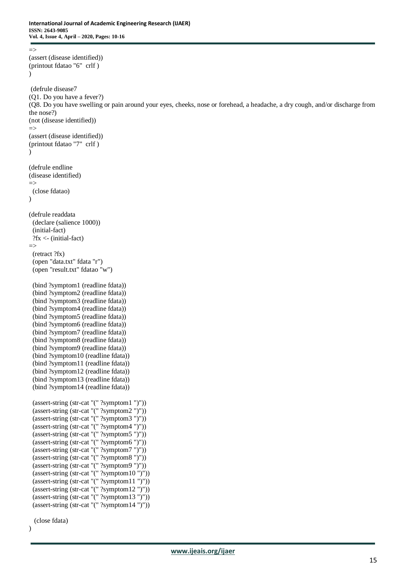```
\Rightarrow(assert (disease identified))
(printout fdatao "6" crlf )
)
(defrule disease7
(Q1. Do you have a fever?)
(Q8. Do you have swelling or pain around your eyes, cheeks, nose or forehead, a headache, a dry cough, and/or discharge from 
the nose?)
(not (disease identified))
\Rightarrow(assert (disease identified))
(printout fdatao "7" crlf )
)
(defrule endline
(disease identified)
\Rightarrow (close fdatao)
)
(defrule readdata 
  (declare (salience 1000))
  (initial-fact)
  ?fx <- (initial-fact)
\Rightarrow (retract ?fx)
  (open "data.txt" fdata "r")
  (open "result.txt" fdatao "w")
  (bind ?symptom1 (readline fdata))
  (bind ?symptom2 (readline fdata)) 
  (bind ?symptom3 (readline fdata)) 
  (bind ?symptom4 (readline fdata)) 
  (bind ?symptom5 (readline fdata)) 
  (bind ?symptom6 (readline fdata))
  (bind ?symptom7 (readline fdata))
  (bind ?symptom8 (readline fdata))
  (bind ?symptom9 (readline fdata)) 
  (bind ?symptom10 (readline fdata)) 
  (bind ?symptom11 (readline fdata)) 
  (bind ?symptom12 (readline fdata)) 
  (bind ?symptom13 (readline fdata))
  (bind ?symptom14 (readline fdata))
  (assert-string (str-cat "(" ?symptom1 ")"))
  (assert-string (str-cat "(" ?symptom2 ")"))
  (assert-string (str-cat "(" ?symptom3 ")"))
  (assert-string (str-cat "(" ?symptom4 ")"))
  (assert-string (str-cat "(" ?symptom5 ")"))
  (assert-string (str-cat "(" ?symptom6 ")"))
  (assert-string (str-cat "(" ?symptom7 ")"))
  (assert-string (str-cat "(" ?symptom8 ")"))
  (assert-string (str-cat "(" ?symptom9 ")"))
  (assert-string (str-cat "(" ?symptom10 ")"))
  (assert-string (str-cat "(" ?symptom11 ")"))
 \frac{1}{2} (assert-string (str-cat "(" ?symptom12 ")"))
 (assert-string (str-cat "(" ?symptom13 ")"))
 (assert-string (str-cat "(" ?symptom14 ")"))
```
(close fdata)